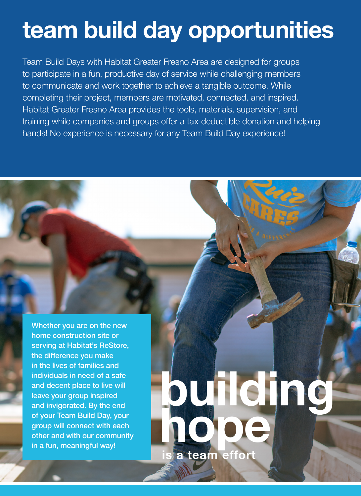# **team build day opportunities**

Team Build Days with Habitat Greater Fresno Area are designed for groups to participate in a fun, productive day of service while challenging members to communicate and work together to achieve a tangible outcome. While completing their project, members are motivated, connected, and inspired. Habitat Greater Fresno Area provides the tools, materials, supervision, and training while companies and groups offer a tax-deductible donation and helping hands! No experience is necessary for any Team Build Day experience!

Whether you are on the new home construction site or serving at Habitat's ReStore, the difference you make in the lives of families and individuals in need of a safe and decent place to live will leave your group inspired and invigorated. By the end of your Team Build Day, your group will connect with each other and with our community in a fun, meaningful way!

# **building hope is a team effort**